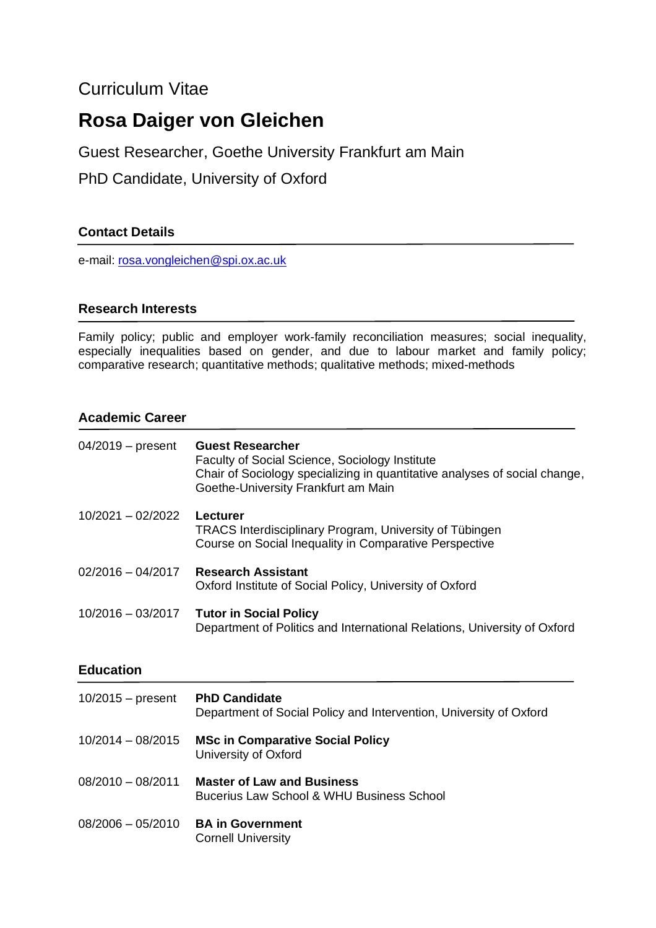## Curriculum Vitae

# **Rosa Daiger von Gleichen**

Guest Researcher, Goethe University Frankfurt am Main

PhD Candidate, University of Oxford

### **Contact Details**

e-mail: [rosa.vongleichen@spi.ox.ac.uk](mailto:rosa.vongleichen@spi.ox.ac.uk)

#### **Research Interests**

Family policy; public and employer work-family reconciliation measures; social inequality, especially inequalities based on gender, and due to labour market and family policy; comparative research; quantitative methods; qualitative methods; mixed-methods

#### **Academic Career**

| 04/2019 - present | <b>Guest Researcher</b><br>Faculty of Social Science, Sociology Institute<br>Chair of Sociology specializing in quantitative analyses of social change,<br>Goethe-University Frankfurt am Main |
|-------------------|------------------------------------------------------------------------------------------------------------------------------------------------------------------------------------------------|
| 10/2021 - 02/2022 | Lecturer<br>TRACS Interdisciplinary Program, University of Tübingen<br>Course on Social Inequality in Comparative Perspective                                                                  |
| 02/2016 - 04/2017 | <b>Research Assistant</b><br>Oxford Institute of Social Policy, University of Oxford                                                                                                           |
| 10/2016 - 03/2017 | <b>Tutor in Social Policy</b><br>Department of Politics and International Relations, University of Oxford                                                                                      |

#### **Education**

| $10/2015 - present$ | <b>PhD Candidate</b><br>Department of Social Policy and Intervention, University of Oxford |
|---------------------|--------------------------------------------------------------------------------------------|
| $10/2014 - 08/2015$ | <b>MSc in Comparative Social Policy</b><br>University of Oxford                            |
| 08/2010 - 08/2011   | <b>Master of Law and Business</b><br>Bucerius Law School & WHU Business School             |
| $08/2006 - 05/2010$ | <b>BA in Government</b><br><b>Cornell University</b>                                       |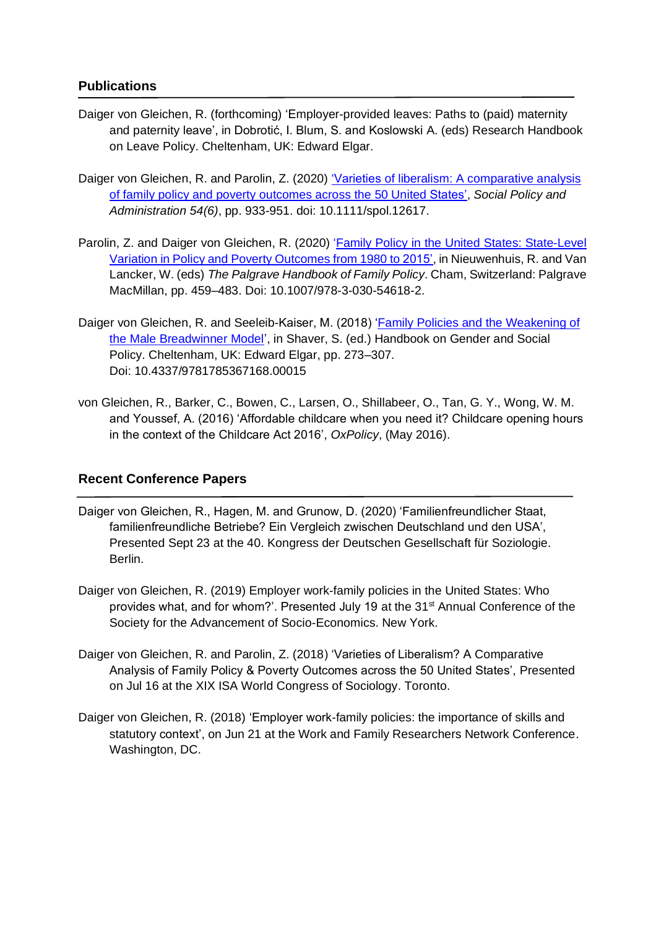#### **Publications**

- Daiger von Gleichen, R. (forthcoming) 'Employer-provided leaves: Paths to (paid) maternity and paternity leave', in Dobrotić, I. Blum, S. and Koslowski A. (eds) Research Handbook on Leave Policy. Cheltenham, UK: Edward Elgar.
- Daiger von Gleichen, R. and Parolin, Z. (2020) 'Varieties of liberalism: A [comparative](https://onlinelibrary.wiley.com/doi/full/10.1111/spol.12617) analysis of family policy and poverty [outcomes](https://onlinelibrary.wiley.com/doi/full/10.1111/spol.12617) across the 50 United States', *Social Policy and Administration 54(6)*, pp. 933-951. doi: 10.1111/spol.12617.
- Parolin, Z. and Daiger von Gleichen, R. (2020) 'Family Policy in the United States: [State-Level](https://rd.springer.com/chapter/10.1007/978-3-030-54618-2_18) Variation in Policy and Poverty [Outcomes](https://rd.springer.com/chapter/10.1007/978-3-030-54618-2_18) from 1980 to 2015', in Nieuwenhuis, R. and Van Lancker, W. (eds) *The Palgrave Handbook of Family Policy*. Cham, Switzerland: Palgrave MacMillan, pp. 459–483. Doi: 10.1007/978-3-030-54618-2.
- Daiger von Gleichen, R. and Seeleib-Kaiser, M. (2018) ['Family Policies and the Weakening of](https://www.elgaronline.com/view/edcoll/9781785367120/9781785367120.00015.xml)  [the Male Breadwinner Model'](https://www.elgaronline.com/view/edcoll/9781785367120/9781785367120.00015.xml), in Shaver, S. (ed.) Handbook on Gender and Social Policy. Cheltenham, UK: Edward Elgar, pp. 273–307. Doi: 10.4337/9781785367168.00015
- von Gleichen, R., Barker, C., Bowen, C., Larsen, O., Shillabeer, O., Tan, G. Y., Wong, W. M. and Youssef, A. (2016) 'Affordable childcare when you need it? Childcare opening hours in the context of the Childcare Act 2016', *OxPolicy*, (May 2016).

#### **Recent Conference Papers**

- Daiger von Gleichen, R., Hagen, M. and Grunow, D. (2020) 'Familienfreundlicher Staat, familienfreundliche Betriebe? Ein Vergleich zwischen Deutschland und den USA', Presented Sept 23 at the 40. Kongress der Deutschen Gesellschaft für Soziologie. Berlin.
- Daiger von Gleichen, R. (2019) Employer work-family policies in the United States: Who provides what, and for whom?'. Presented July 19 at the 31<sup>st</sup> Annual Conference of the Society for the Advancement of Socio-Economics. New York.
- Daiger von Gleichen, R. and Parolin, Z. (2018) 'Varieties of Liberalism? A Comparative Analysis of Family Policy & Poverty Outcomes across the 50 United States', Presented on Jul 16 at the XIX ISA World Congress of Sociology. Toronto.
- Daiger von Gleichen, R. (2018) 'Employer work-family policies: the importance of skills and statutory context', on Jun 21 at the Work and Family Researchers Network Conference. Washington, DC.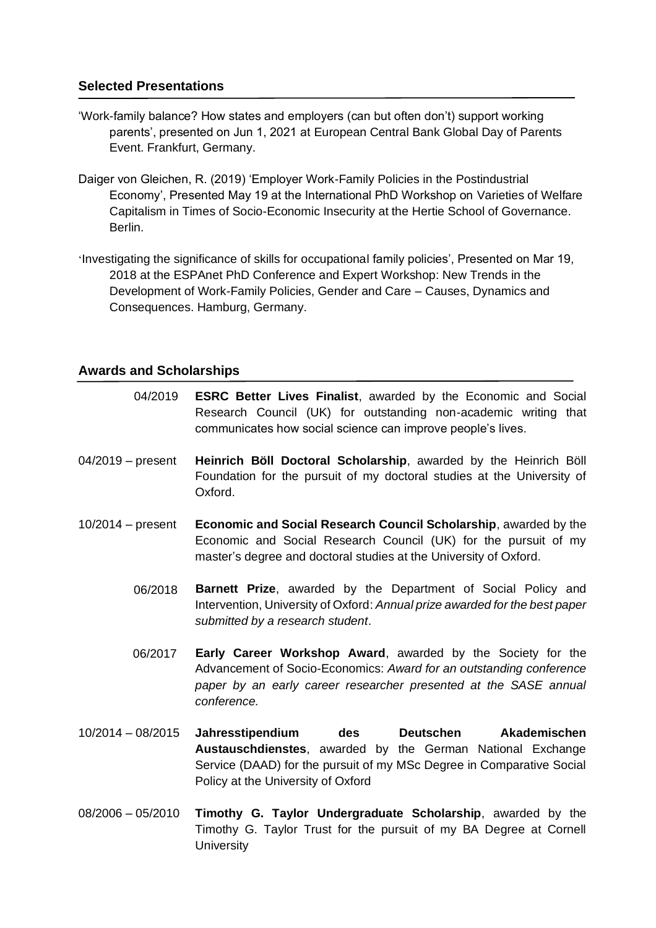#### **Selected Presentations**

- 'Work-family balance? How states and employers (can but often don't) support working parents', presented on Jun 1, 2021 at European Central Bank Global Day of Parents Event. Frankfurt, Germany.
- Daiger von Gleichen, R. (2019) 'Employer Work-Family Policies in the Postindustrial Economy', Presented May 19 at the International PhD Workshop on Varieties of Welfare Capitalism in Times of Socio-Economic Insecurity at the Hertie School of Governance. Berlin.
- 'Investigating the significance of skills for occupational family policies', Presented on Mar 19, 2018 at the ESPAnet PhD Conference and Expert Workshop: New Trends in the Development of Work-Family Policies, Gender and Care – Causes, Dynamics and Consequences. Hamburg, Germany.

#### **Awards and Scholarships**

- 04/2019 **ESRC Better Lives Finalist**, awarded by the Economic and Social Research Council (UK) for outstanding non-academic writing that communicates how social science can improve people's lives.
- 04/2019 present **Heinrich Böll Doctoral Scholarship**, awarded by the Heinrich Böll Foundation for the pursuit of my doctoral studies at the University of Oxford.
- 10/2014 present **Economic and Social Research Council Scholarship**, awarded by the Economic and Social Research Council (UK) for the pursuit of my master's degree and doctoral studies at the University of Oxford.
	- **Barnett Prize**, awarded by the Department of Social Policy and Intervention, University of Oxford: *Annual prize awarded for the best paper submitted by a research student*. 06/2018
	- **Early Career Workshop Award**, awarded by the Society for the Advancement of Socio-Economics: *Award for an outstanding conference paper by an early career researcher presented at the SASE annual conference.* 06/2017
- 10/2014 08/2015 **Jahresstipendium des Deutschen Akademischen Austauschdienstes**, awarded by the German National Exchange Service (DAAD) for the pursuit of my MSc Degree in Comparative Social Policy at the University of Oxford
- 08/2006 05/2010 **Timothy G. Taylor Undergraduate Scholarship**, awarded by the Timothy G. Taylor Trust for the pursuit of my BA Degree at Cornell **University**